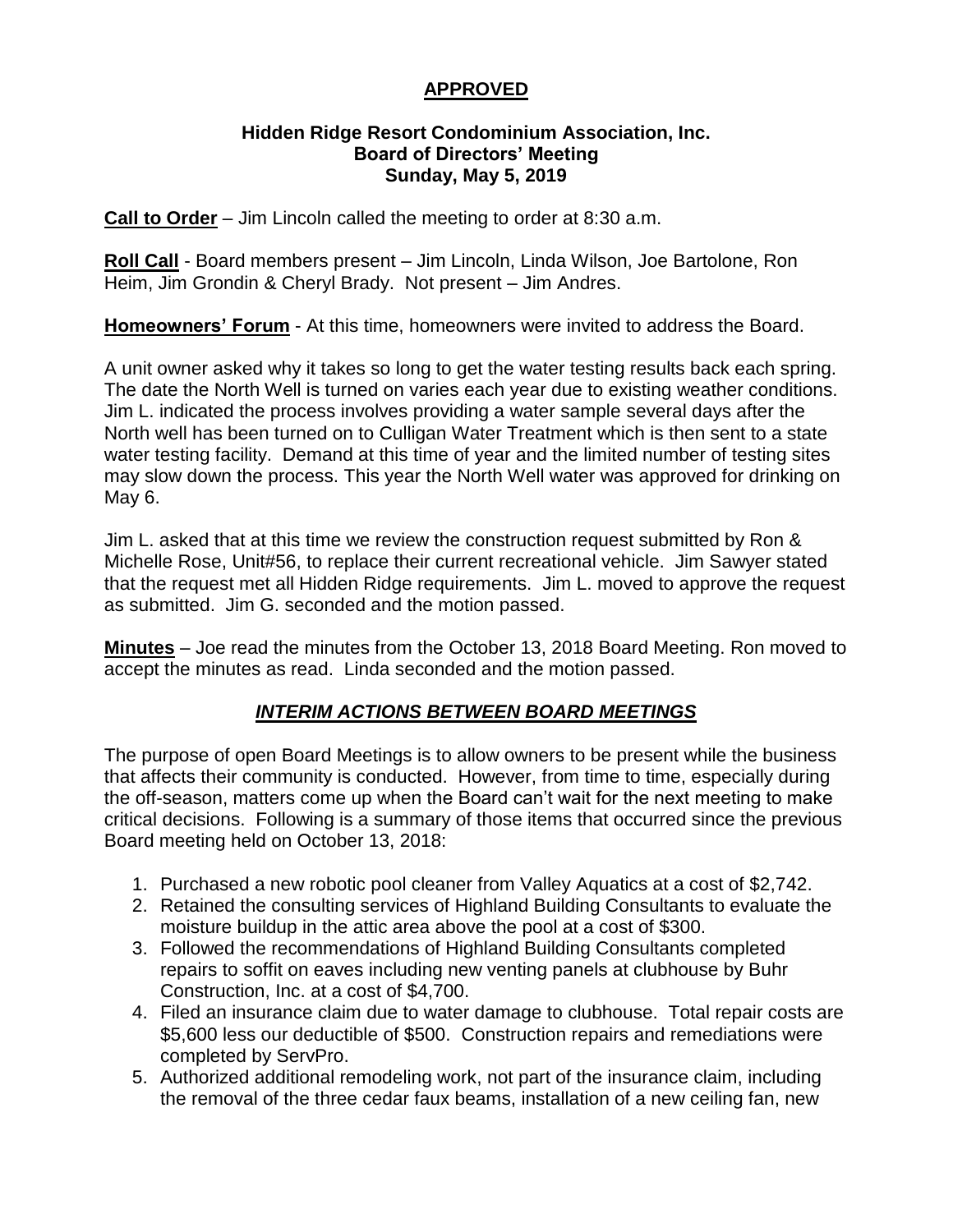# **APPROVED**

#### **Hidden Ridge Resort Condominium Association, Inc. Board of Directors' Meeting Sunday, May 5, 2019**

**Call to Order** – Jim Lincoln called the meeting to order at 8:30 a.m.

**Roll Call** - Board members present – Jim Lincoln, Linda Wilson, Joe Bartolone, Ron Heim, Jim Grondin & Cheryl Brady. Not present – Jim Andres.

**Homeowners' Forum** - At this time, homeowners were invited to address the Board.

A unit owner asked why it takes so long to get the water testing results back each spring. The date the North Well is turned on varies each year due to existing weather conditions. Jim L. indicated the process involves providing a water sample several days after the North well has been turned on to Culligan Water Treatment which is then sent to a state water testing facility. Demand at this time of year and the limited number of testing sites may slow down the process. This year the North Well water was approved for drinking on May 6.

Jim L. asked that at this time we review the construction request submitted by Ron & Michelle Rose, Unit#56, to replace their current recreational vehicle. Jim Sawyer stated that the request met all Hidden Ridge requirements. Jim L. moved to approve the request as submitted. Jim G. seconded and the motion passed.

**Minutes** – Joe read the minutes from the October 13, 2018 Board Meeting. Ron moved to accept the minutes as read. Linda seconded and the motion passed.

# *INTERIM ACTIONS BETWEEN BOARD MEETINGS*

The purpose of open Board Meetings is to allow owners to be present while the business that affects their community is conducted. However, from time to time, especially during the off-season, matters come up when the Board can't wait for the next meeting to make critical decisions. Following is a summary of those items that occurred since the previous Board meeting held on October 13, 2018:

- 1. Purchased a new robotic pool cleaner from Valley Aquatics at a cost of \$2,742.
- 2. Retained the consulting services of Highland Building Consultants to evaluate the moisture buildup in the attic area above the pool at a cost of \$300.
- 3. Followed the recommendations of Highland Building Consultants completed repairs to soffit on eaves including new venting panels at clubhouse by Buhr Construction, Inc. at a cost of \$4,700.
- 4. Filed an insurance claim due to water damage to clubhouse. Total repair costs are \$5,600 less our deductible of \$500. Construction repairs and remediations were completed by ServPro.
- 5. Authorized additional remodeling work, not part of the insurance claim, including the removal of the three cedar faux beams, installation of a new ceiling fan, new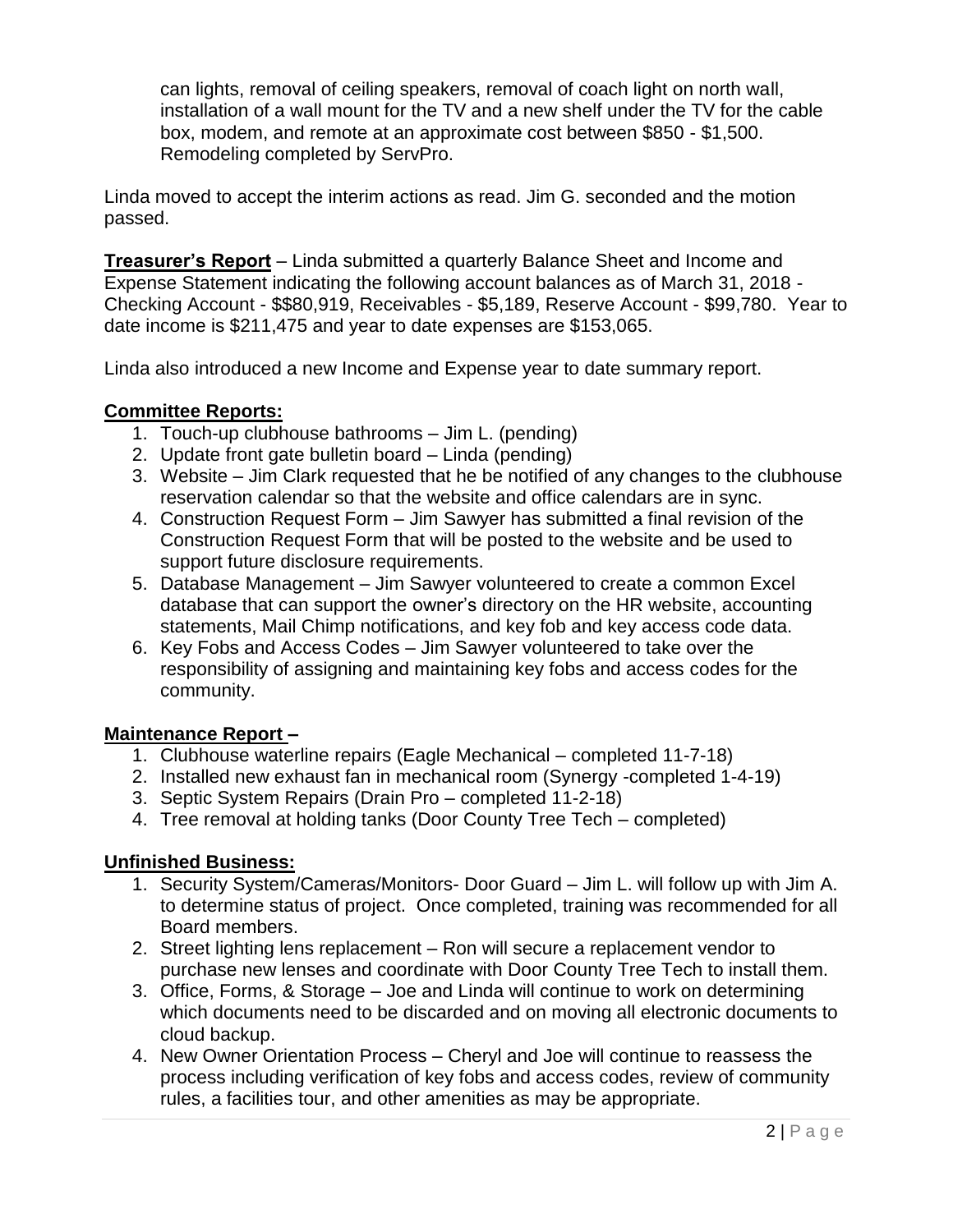can lights, removal of ceiling speakers, removal of coach light on north wall, installation of a wall mount for the TV and a new shelf under the TV for the cable box, modem, and remote at an approximate cost between \$850 - \$1,500. Remodeling completed by ServPro.

Linda moved to accept the interim actions as read. Jim G. seconded and the motion passed.

**Treasurer's Report** – Linda submitted a quarterly Balance Sheet and Income and Expense Statement indicating the following account balances as of March 31, 2018 - Checking Account - \$\$80,919, Receivables - \$5,189, Reserve Account - \$99,780. Year to date income is \$211,475 and year to date expenses are \$153,065.

Linda also introduced a new Income and Expense year to date summary report.

## **Committee Reports:**

- 1. Touch-up clubhouse bathrooms Jim L. (pending)
- 2. Update front gate bulletin board Linda (pending)
- 3. Website Jim Clark requested that he be notified of any changes to the clubhouse reservation calendar so that the website and office calendars are in sync.
- 4. Construction Request Form Jim Sawyer has submitted a final revision of the Construction Request Form that will be posted to the website and be used to support future disclosure requirements.
- 5. Database Management Jim Sawyer volunteered to create a common Excel database that can support the owner's directory on the HR website, accounting statements, Mail Chimp notifications, and key fob and key access code data.
- 6. Key Fobs and Access Codes Jim Sawyer volunteered to take over the responsibility of assigning and maintaining key fobs and access codes for the community.

#### **Maintenance Report –**

- 1. Clubhouse waterline repairs (Eagle Mechanical completed 11-7-18)
- 2. Installed new exhaust fan in mechanical room (Synergy -completed 1-4-19)
- 3. Septic System Repairs (Drain Pro completed 11-2-18)
- 4. Tree removal at holding tanks (Door County Tree Tech completed)

# **Unfinished Business:**

- 1. Security System/Cameras/Monitors- Door Guard Jim L. will follow up with Jim A. to determine status of project. Once completed, training was recommended for all Board members.
- 2. Street lighting lens replacement Ron will secure a replacement vendor to purchase new lenses and coordinate with Door County Tree Tech to install them.
- 3. Office, Forms, & Storage Joe and Linda will continue to work on determining which documents need to be discarded and on moving all electronic documents to cloud backup.
- 4. New Owner Orientation Process Cheryl and Joe will continue to reassess the process including verification of key fobs and access codes, review of community rules, a facilities tour, and other amenities as may be appropriate.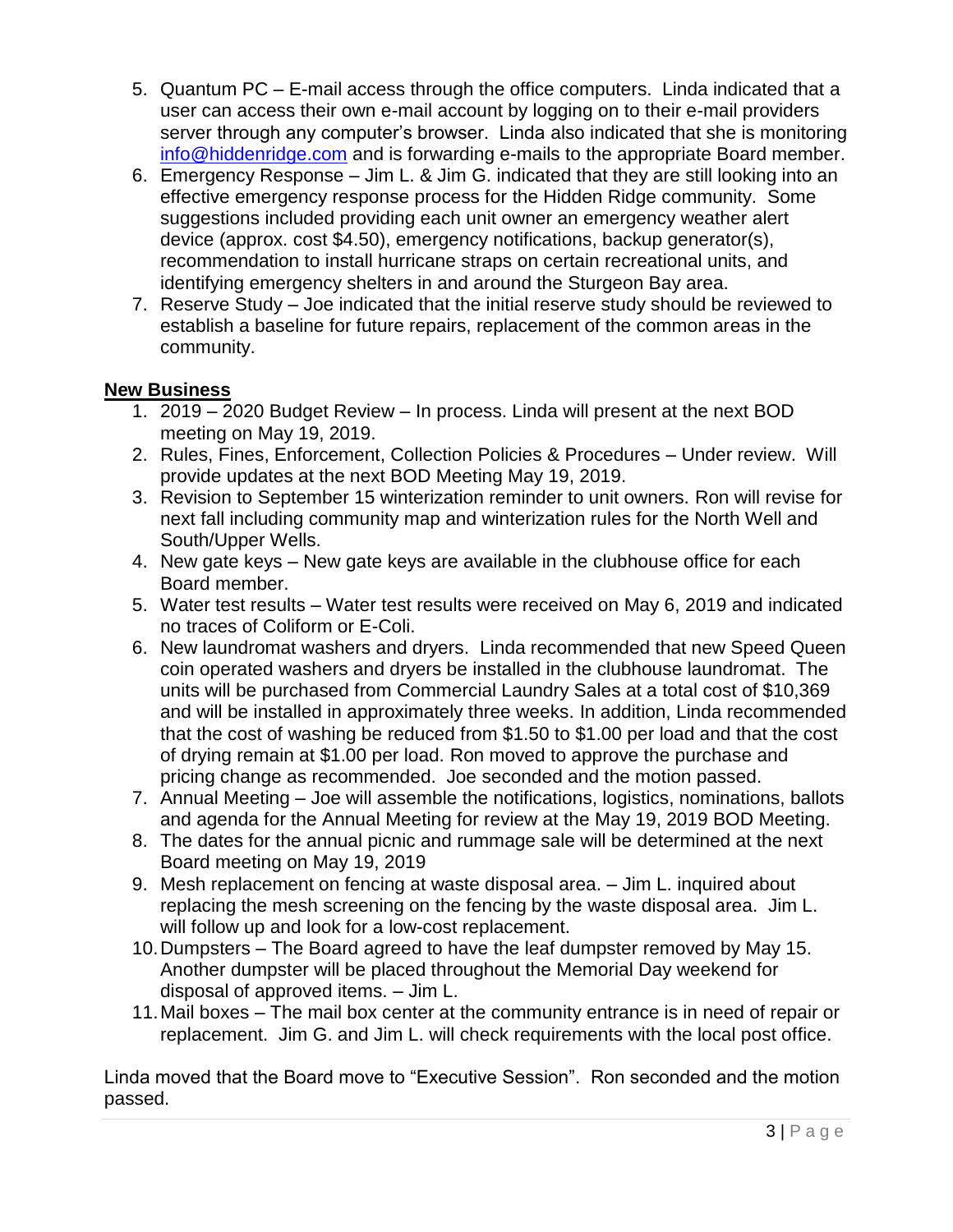- 5. Quantum PC E-mail access through the office computers. Linda indicated that a user can access their own e-mail account by logging on to their e-mail providers server through any computer's browser. Linda also indicated that she is monitoring [info@hiddenridge.com](mailto:info@hiddenridge.com) and is forwarding e-mails to the appropriate Board member.
- 6. Emergency Response Jim L. & Jim G. indicated that they are still looking into an effective emergency response process for the Hidden Ridge community. Some suggestions included providing each unit owner an emergency weather alert device (approx. cost \$4.50), emergency notifications, backup generator(s), recommendation to install hurricane straps on certain recreational units, and identifying emergency shelters in and around the Sturgeon Bay area.
- 7. Reserve Study Joe indicated that the initial reserve study should be reviewed to establish a baseline for future repairs, replacement of the common areas in the community.

## **New Business**

- 1. 2019 2020 Budget Review In process. Linda will present at the next BOD meeting on May 19, 2019.
- 2. Rules, Fines, Enforcement, Collection Policies & Procedures Under review. Will provide updates at the next BOD Meeting May 19, 2019.
- 3. Revision to September 15 winterization reminder to unit owners. Ron will revise for next fall including community map and winterization rules for the North Well and South/Upper Wells.
- 4. New gate keys New gate keys are available in the clubhouse office for each Board member.
- 5. Water test results Water test results were received on May 6, 2019 and indicated no traces of Coliform or E-Coli.
- 6. New laundromat washers and dryers. Linda recommended that new Speed Queen coin operated washers and dryers be installed in the clubhouse laundromat. The units will be purchased from Commercial Laundry Sales at a total cost of \$10,369 and will be installed in approximately three weeks. In addition, Linda recommended that the cost of washing be reduced from \$1.50 to \$1.00 per load and that the cost of drying remain at \$1.00 per load. Ron moved to approve the purchase and pricing change as recommended. Joe seconded and the motion passed.
- 7. Annual Meeting Joe will assemble the notifications, logistics, nominations, ballots and agenda for the Annual Meeting for review at the May 19, 2019 BOD Meeting.
- 8. The dates for the annual picnic and rummage sale will be determined at the next Board meeting on May 19, 2019
- 9. Mesh replacement on fencing at waste disposal area. Jim L. inquired about replacing the mesh screening on the fencing by the waste disposal area. Jim L. will follow up and look for a low-cost replacement.
- 10.Dumpsters The Board agreed to have the leaf dumpster removed by May 15. Another dumpster will be placed throughout the Memorial Day weekend for disposal of approved items. – Jim L.
- 11.Mail boxes The mail box center at the community entrance is in need of repair or replacement. Jim G. and Jim L. will check requirements with the local post office.

Linda moved that the Board move to "Executive Session". Ron seconded and the motion passed.